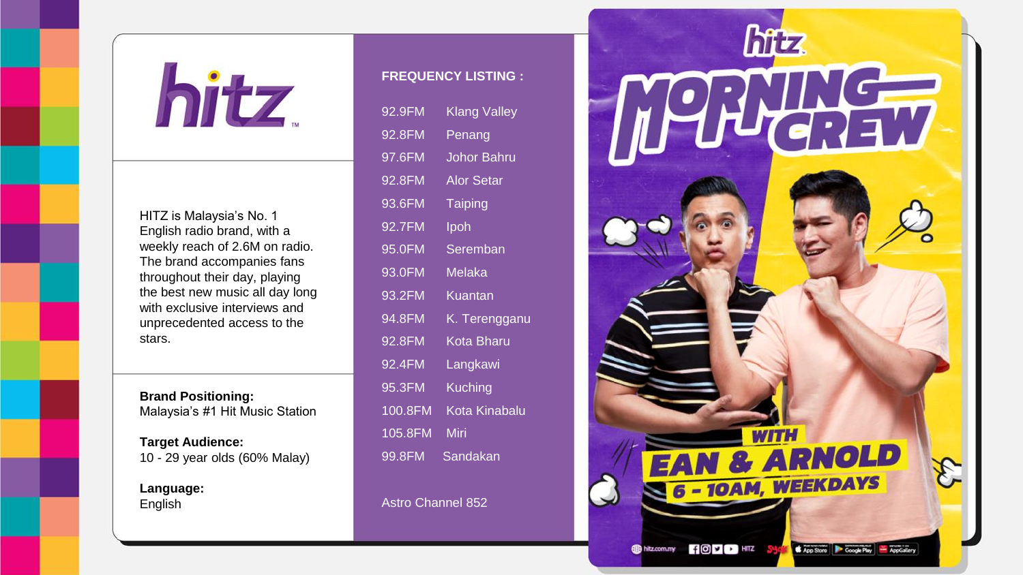

HITZ is Malaysia's No. 1 English radio brand, with a weekly reach of 2.6M on radio. The brand accompanies fans throughout their day, playing the best new music all day long with exclusive interviews and unprecedented access to the stars.

**Brand Positioning:** Malaysia's #1 Hit Music Station

**Target Audience:** 10 - 29 year olds (60% Malay)

**Language:** English

## **FREQUENCY LISTING :**

| 92.9FM  | Klang Valley      |
|---------|-------------------|
| 92.8FM  | Penang            |
| 97.6FM  | Johor Bahru       |
| 92.8FM  | <b>Alor Setar</b> |
| 93.6FM  | Taiping           |
| 92.7FM  | Ipoh              |
| 95.0FM  | Seremban          |
| 93.0FM  | Melaka            |
| 93.2FM  | Kuantan           |
| 94.8FM  | K. Terengganu     |
| 92.8FM  | Kota Bharu        |
| 92.4FM  | Langkawi          |
| 95.3FM  | Kuching           |
| 100.8FM | Kota Kinabalu     |
| 105.8FM | Miri              |
| 99.8FM  | Sandakan          |

Astro Channel 852

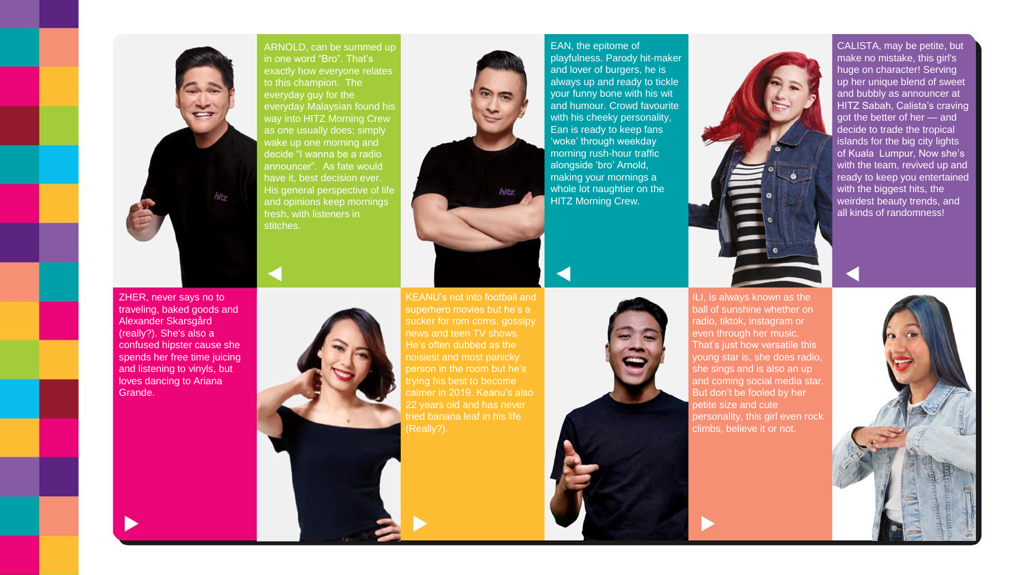

ARNOLD, can be summed up in one word "Bro". That's exactly how everyone relates to this champion. The everyday guy for the everyday Malaysian found his way into HITZ Morning Crew as one usually does; simply wake up one morning and decide "I wanna be a radio announcer". As fate would have it, best decision ever. His general perspective of life and opinions keep mornings fresh, with listeners in



EAN, the epitome of playfulness. Parody hit-maker and lover of burgers, he is always up and ready to tickle your funny bone with his wit and humour. Crowd favourite with his cheeky personality. Ean is ready to keep fans 'woke' through weekday morning rush-hour traffic alongside 'bro' Arnold, making your mornings a whole lot naughtier on the HITZ Morning Crew.



CALISTA, may be petite, but make no mistake, this girl's huge on character! Serving up her unique blend of sweet and bubbly as announcer at HITZ Sabah, Calista's craving got the better of her — and decide to trade the tropical islands for the big city lights of Kuala Lumpur, Now she's with the team, revived up and ready to keep you entertained with the biggest hits, the weirdest beauty trends, and all kinds of randomness!

ZHER, never says no to traveling, baked goods and Alexander Skarsgård (really?). She's also a confused hipster cause she spends her free time juicing and listening to vinyls, but loves dancing to Ariana Grande.



KEANU's not into football and superhero movies but he's a news and teen TV shows. He's often dubbed as the noisiest and most panicky person in the room but he's trying his best to become 22 years old and has never tried banana leaf in his life



ILI, is always known as the ball of sunshine whether on radio, tiktok, instagram or even through her music. That's just how versatile this young star is, she does radio, she sings and is also an up and coming social media star. But don't be fooled by her petite size and cute personality, this girl even rock climbs, believe it or not.